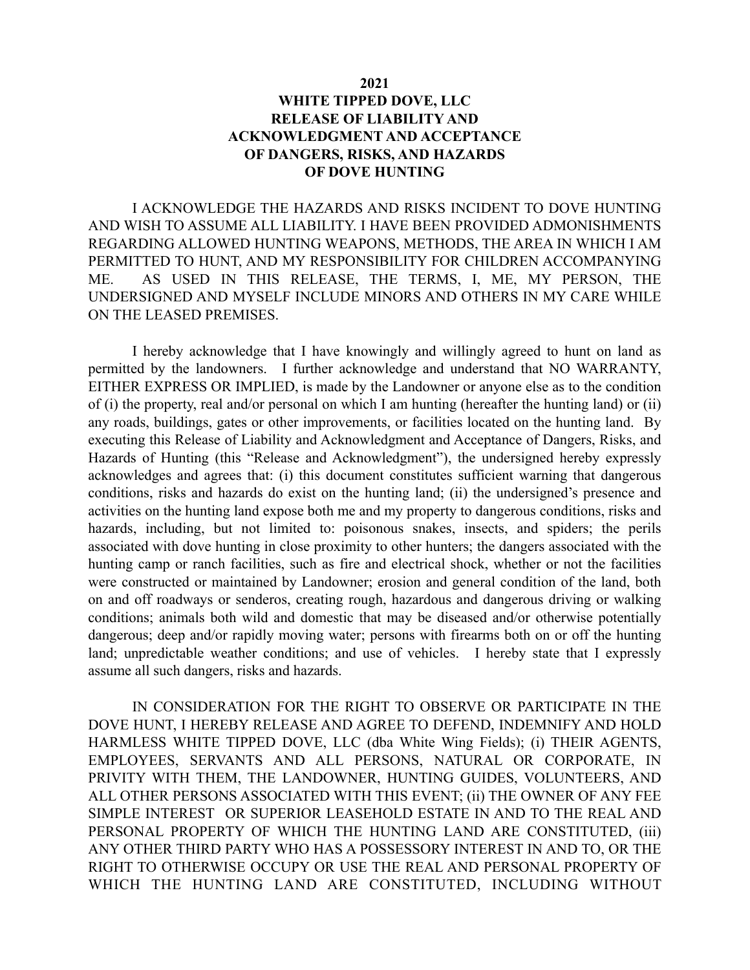## **2021 WHITE TIPPED DOVE, LLC RELEASE OF LIABILITY AND ACKNOWLEDGMENT AND ACCEPTANCE OF DANGERS, RISKS, AND HAZARDS OF DOVE HUNTING**

I ACKNOWLEDGE THE HAZARDS AND RISKS INCIDENT TO DOVE HUNTING AND WISH TO ASSUME ALL LIABILITY. I HAVE BEEN PROVIDED ADMONISHMENTS REGARDING ALLOWED HUNTING WEAPONS, METHODS, THE AREA IN WHICH I AM PERMITTED TO HUNT, AND MY RESPONSIBILITY FOR CHILDREN ACCOMPANYING ME. AS USED IN THIS RELEASE, THE TERMS, I, ME, MY PERSON, THE UNDERSIGNED AND MYSELF INCLUDE MINORS AND OTHERS IN MY CARE WHILE ON THE LEASED PREMISES.

I hereby acknowledge that I have knowingly and willingly agreed to hunt on land as permitted by the landowners. I further acknowledge and understand that NO WARRANTY, EITHER EXPRESS OR IMPLIED, is made by the Landowner or anyone else as to the condition of (i) the property, real and/or personal on which I am hunting (hereafter the hunting land) or (ii) any roads, buildings, gates or other improvements, or facilities located on the hunting land. By executing this Release of Liability and Acknowledgment and Acceptance of Dangers, Risks, and Hazards of Hunting (this "Release and Acknowledgment"), the undersigned hereby expressly acknowledges and agrees that: (i) this document constitutes sufficient warning that dangerous conditions, risks and hazards do exist on the hunting land; (ii) the undersigned's presence and activities on the hunting land expose both me and my property to dangerous conditions, risks and hazards, including, but not limited to: poisonous snakes, insects, and spiders; the perils associated with dove hunting in close proximity to other hunters; the dangers associated with the hunting camp or ranch facilities, such as fire and electrical shock, whether or not the facilities were constructed or maintained by Landowner; erosion and general condition of the land, both on and off roadways or senderos, creating rough, hazardous and dangerous driving or walking conditions; animals both wild and domestic that may be diseased and/or otherwise potentially dangerous; deep and/or rapidly moving water; persons with firearms both on or off the hunting land; unpredictable weather conditions; and use of vehicles. I hereby state that I expressly assume all such dangers, risks and hazards.

IN CONSIDERATION FOR THE RIGHT TO OBSERVE OR PARTICIPATE IN THE DOVE HUNT, I HEREBY RELEASE AND AGREE TO DEFEND, INDEMNIFY AND HOLD HARMLESS WHITE TIPPED DOVE, LLC (dba White Wing Fields); (i) THEIR AGENTS, EMPLOYEES, SERVANTS AND ALL PERSONS, NATURAL OR CORPORATE, IN PRIVITY WITH THEM, THE LANDOWNER, HUNTING GUIDES, VOLUNTEERS, AND ALL OTHER PERSONS ASSOCIATED WITH THIS EVENT; (ii) THE OWNER OF ANY FEE SIMPLE INTEREST OR SUPERIOR LEASEHOLD ESTATE IN AND TO THE REAL AND PERSONAL PROPERTY OF WHICH THE HUNTING LAND ARE CONSTITUTED, (iii) ANY OTHER THIRD PARTY WHO HAS A POSSESSORY INTEREST IN AND TO, OR THE RIGHT TO OTHERWISE OCCUPY OR USE THE REAL AND PERSONAL PROPERTY OF WHICH THE HUNTING LAND ARE CONSTITUTED, INCLUDING WITHOUT